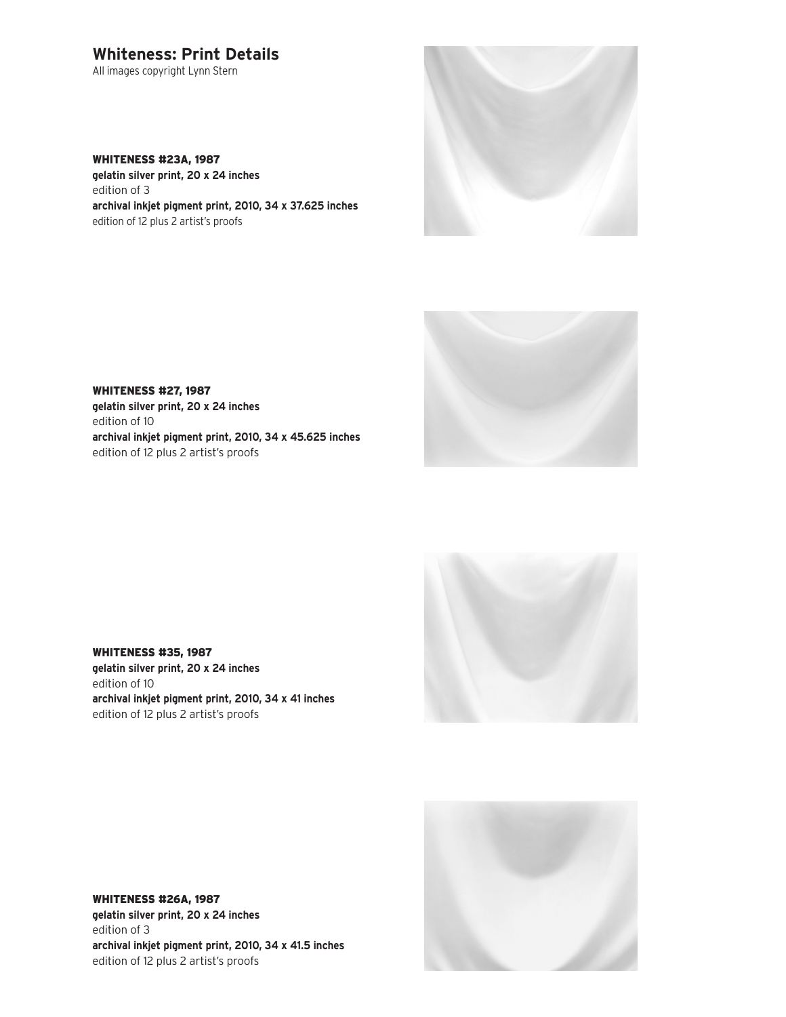## **Whiteness: Print Details**

All images copyright Lynn Stern

## WHITENESS #23A, 1987

**gelatin silver print, 20 x 24 inches** edition of 3 **archival inkjet pigment print, 2010, 34 x 37.625 inches** edition of 12 plus 2 artist's proofs





WHITENESS #27, 1987 **gelatin silver print, 20 x 24 inches** edition of 10 **archival inkjet pigment print, 2010, 34 x 45.625 inches** edition of 12 plus 2 artist's proofs



WHITENESS #35, 1987 **gelatin silver print, 20 x 24 inches** edition of 10 **archival inkjet pigment print, 2010, 34 x 41 inches** edition of 12 plus 2 artist's proofs



WHITENESS #26A, 1987 **gelatin silver print, 20 x 24 inches** edition of 3 **archival inkjet pigment print, 2010, 34 x 41.5 inches** edition of 12 plus 2 artist's proofs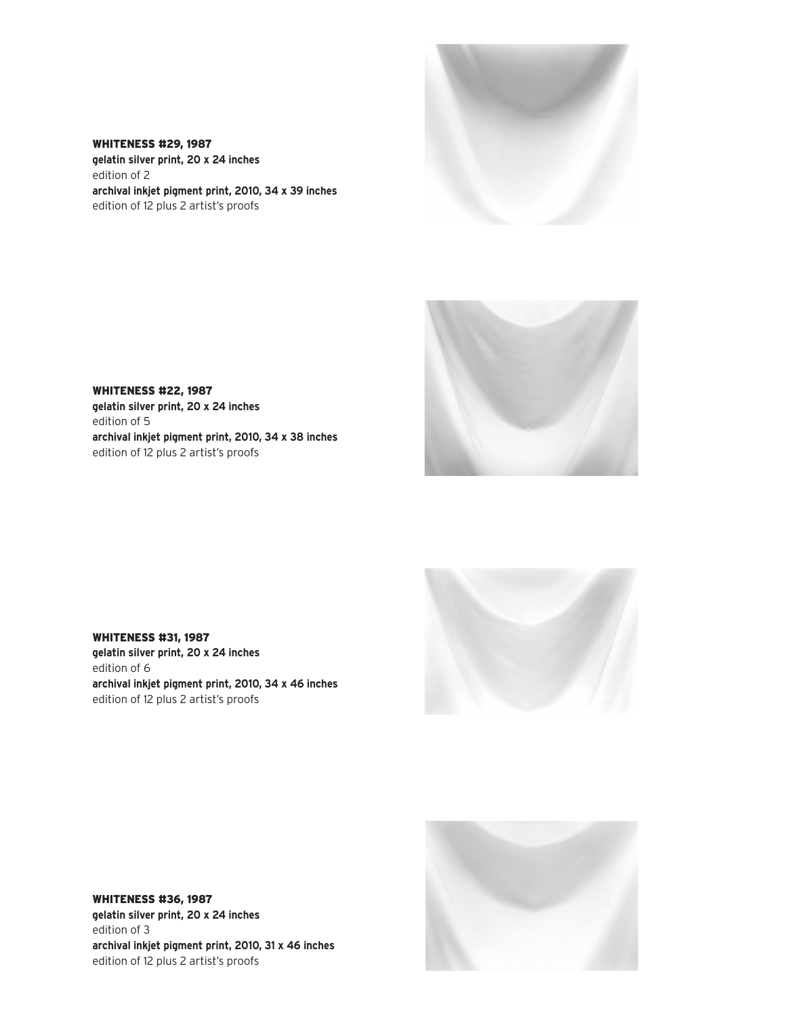

**gelatin silver print, 20 x 24 inches** edition of 2 **archival inkjet pigment print, 2010, 34 x 39 inches** edition of 12 plus 2 artist's proofs

WHITENESS #29, 1987



WHITENESS #22, 1987 **gelatin silver print, 20 x 24 inches** edition of 5 **archival inkjet pigment print, 2010, 34 x 38 inches** edition of 12 plus 2 artist's proofs



WHITENESS #31, 1987 **gelatin silver print, 20 x 24 inches** edition of 6 **archival inkjet pigment print, 2010, 34 x 46 inches** edition of 12 plus 2 artist's proofs



WHITENESS #36, 1987 **gelatin silver print, 20 x 24 inches** edition of 3 **archival inkjet pigment print, 2010, 31 x 46 inches** edition of 12 plus 2 artist's proofs